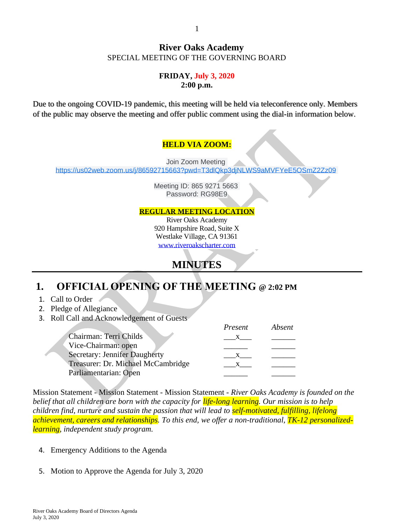#### **River Oaks Academy** SPECIAL MEETING OF THE GOVERNING BOARD

#### **FRIDAY, July 3, 2020 2:00 p.m.**

Due to the ongoing COVID-19 pandemic, this meeting will be held via teleconference only. Members of the public may observe the meeting and offer public comment using the dial-in information below.

### **HELD VIA ZOOM:**

Join Zoom Meeting [https://us02web.zoom.us/j/86592715663?pwd=T3dlQkp3djNLWS9aMVFYeE5OSmZ2Zz09](https://www.google.com/url?q=https://us02web.zoom.us/j/86592715663?pwd%3DT3dlQkp3djNLWS9aMVFYeE5OSmZ2Zz09&sa=D&source=calendar&ust=1593692281184000&usg=AOvVaw0RcdWzeUVyRUJa3OVSpCyG)

> Meeting ID: 865 9271 5663 Password: RG98E9

#### **REGULAR MEETING LOCATION**

River Oaks Academy 920 Hampshire Road, Suite X Westlake Village, CA 91361 [www.riveroakscharter.com](http://www.riveroakscharter.com/)

# **MINUTES**

# **1. OFFICIAL OPENING OF THE MEETING @ 2:02 PM**

- 1. Call to Order
- 2. Pledge of Allegiance
- 3. Roll Call and Acknowledgement of Guests

|                                      | Present      | Absent |
|--------------------------------------|--------------|--------|
| Chairman: Terri Childs               |              |        |
| Vice-Chairman: open                  |              |        |
| <b>Secretary: Jennifer Daugherty</b> |              |        |
| Treasurer: Dr. Michael McCambridge   | $\mathbf{X}$ |        |
| Parliamentarian: Open                |              |        |

Mission Statement - Mission Statement - Mission Statement - *River Oaks Academy is founded on the belief that all children are born with the capacity for life-long learning. Our mission is to help children find, nurture and sustain the passion that will lead to self-motivated, fulfilling, lifelong achievement, careers and relationships. To this end, we offer a non-traditional, TK-12 personalizedlearning, independent study program.*

- 4. Emergency Additions to the Agenda
- 5. Motion to Approve the Agenda for July 3, 2020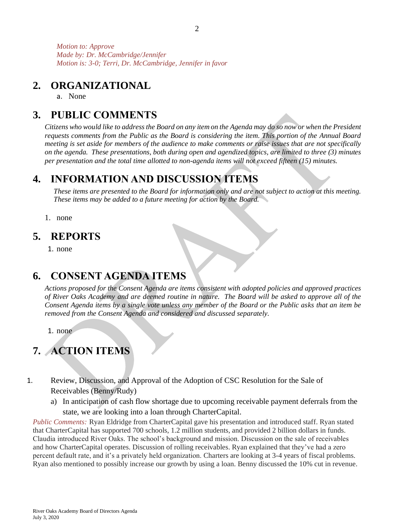*Motion to: Approve Made by: Dr. McCambridge/Jennifer Motion is: 3-0; Terri, Dr. McCambridge, Jennifer in favor*

## **2. ORGANIZATIONAL**

a. None

# **3. PUBLIC COMMENTS**

*Citizens who would like to address the Board on any item on the Agenda may do so now or when the President requests comments from the Public as the Board is considering the item. This portion of the Annual Board meeting is set aside for members of the audience to make comments or raise issues that are not specifically on the agenda. These presentations, both during open and agendized topics, are limited to three (3) minutes per presentation and the total time allotted to non-agenda items will not exceed fifteen (15) minutes.*

## **4. INFORMATION AND DISCUSSION ITEMS**

*These items are presented to the Board for information only and are not subject to action at this meeting. These items may be added to a future meeting for action by the Board.*

1. none

## **5. REPORTS**

1. none

# **6. CONSENT AGENDA ITEMS**

*Actions proposed for the Consent Agenda are items consistent with adopted policies and approved practices of River Oaks Academy and are deemed routine in nature. The Board will be asked to approve all of the Consent Agenda items by a single vote unless any member of the Board or the Public asks that an item be removed from the Consent Agenda and considered and discussed separately.*

1. none

# **7. ACTION ITEMS**

- 1. Review, Discussion, and Approval of the Adoption of CSC Resolution for the Sale of Receivables (Benny/Rudy)
	- a) In anticipation of cash flow shortage due to upcoming receivable payment deferrals from the state, we are looking into a loan through CharterCapital.

*Public Comments:* Ryan Eldridge from CharterCapital gave his presentation and introduced staff. Ryan stated that CharterCapital has supported 700 schools, 1.2 million students, and provided 2 billion dollars in funds. Claudia introduced River Oaks. The school's background and mission. Discussion on the sale of receivables and how CharterCapital operates. Discussion of rolling receivables. Ryan explained that they've had a zero percent default rate, and it's a privately held organization. Charters are looking at 3-4 years of fiscal problems. Ryan also mentioned to possibly increase our growth by using a loan. Benny discussed the 10% cut in revenue.